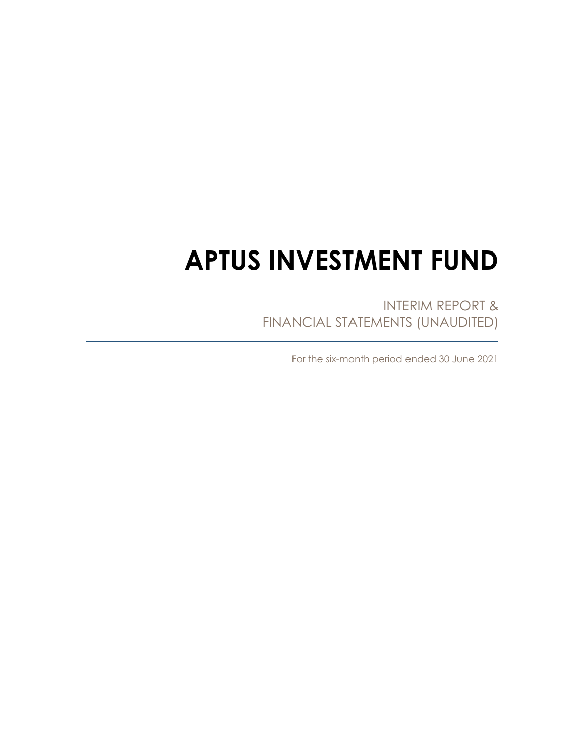# **APTUS INVESTMENT FUND**

INTERIM REPORT & FINANCIAL STATEMENTS (UNAUDITED)

For the six-month period ended 30 June 2021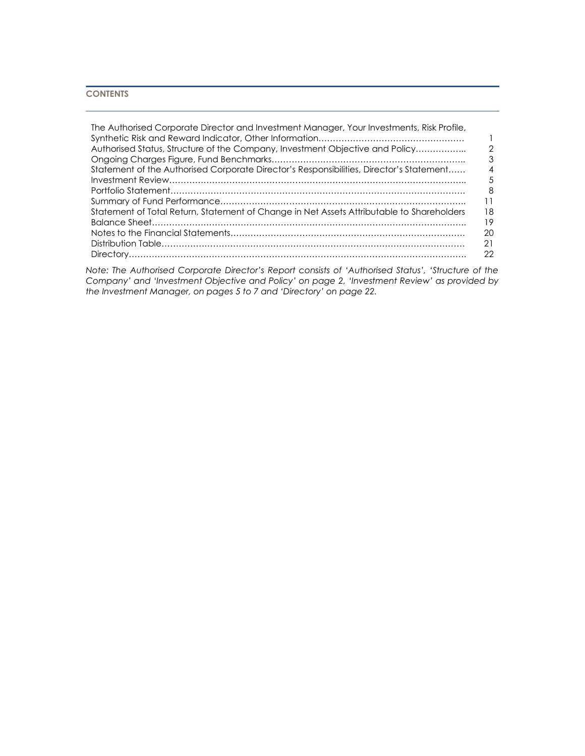# **CONTENTS**

| The Authorised Corporate Director and Investment Manager, Your Investments, Risk Profile, |                |
|-------------------------------------------------------------------------------------------|----------------|
|                                                                                           |                |
| Authorised Status, Structure of the Company, Investment Objective and Policy              | っ              |
|                                                                                           | 3              |
| Statement of the Authorised Corporate Director's Responsibilities, Director's Statement   | $\overline{A}$ |
|                                                                                           | 5              |
|                                                                                           | 8              |
|                                                                                           | 11             |
| Statement of Total Return, Statement of Change in Net Assets Attributable to Shareholders | 18             |
|                                                                                           | 19             |
|                                                                                           | 20             |
|                                                                                           | 21             |
|                                                                                           | 22             |

*Note: The Authorised Corporate Director's Report consists of 'Authorised Status', 'Structure of the Company' and 'Investment Objective and Policy' on page 2, 'Investment Review' as provided by the Investment Manager, on pages 5 to 7 and 'Directory' on page 22.*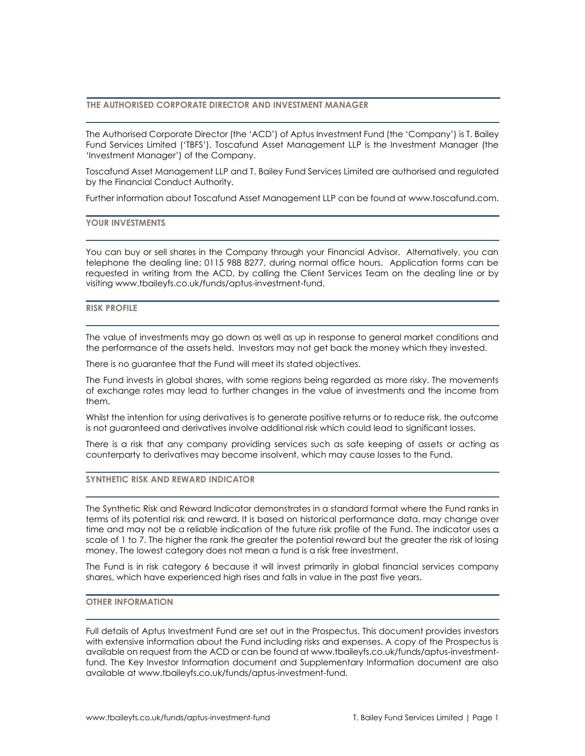# **THE AUTHORISED CORPORATE DIRECTOR AND INVESTMENT MANAGER**

The Authorised Corporate Director (the 'ACD') of Aptus Investment Fund (the 'Company') is T. Bailey Fund Services Limited ('TBFS'). Toscafund Asset Management LLP is the Investment Manager (the 'Investment Manager') of the Company.

Toscafund Asset Management LLP and T. Bailey Fund Services Limited are authorised and regulated by the Financial Conduct Authority.

Further information about Toscafund Asset Management LLP can be found a[t www.toscafund.com.](http://www.toscafund.com/)

## **YOUR INVESTMENTS**

You can buy or sell shares in the Company through your Financial Advisor. Alternatively, you can telephone the dealing line; 0115 988 8277, during normal office hours. Application forms can be requested in writing from the ACD, by calling the Client Services Team on the dealing line or by visiting www.tbaileyfs.co.uk/funds/aptus-investment-fund.

## **RISK PROFILE**

The value of investments may go down as well as up in response to general market conditions and the performance of the assets held. Investors may not get back the money which they invested.

There is no guarantee that the Fund will meet its stated objectives.

The Fund invests in global shares, with some regions being regarded as more risky. The movements of exchange rates may lead to further changes in the value of investments and the income from them.

Whilst the intention for using derivatives is to generate positive returns or to reduce risk, the outcome is not guaranteed and derivatives involve additional risk which could lead to significant losses.

There is a risk that any company providing services such as safe keeping of assets or acting as counterparty to derivatives may become insolvent, which may cause losses to the Fund.

## **SYNTHETIC RISK AND REWARD INDICATOR**

The Synthetic Risk and Reward Indicator demonstrates in a standard format where the Fund ranks in terms of its potential risk and reward. It is based on historical performance data, may change over time and may not be a reliable indication of the future risk profile of the Fund. The indicator uses a scale of 1 to 7. The higher the rank the greater the potential reward but the greater the risk of losing money. The lowest category does not mean a fund is a risk free investment.

The Fund is in risk category 6 because it will invest primarily in global financial services company shares, which have experienced high rises and falls in value in the past five years.

## **OTHER INFORMATION**

Full details of Aptus Investment Fund are set out in the Prospectus. This document provides investors with extensive information about the Fund including risks and expenses. A copy of the Prospectus is available on request from the ACD or can be found at [www.tbaileyfs.co.uk/funds/aptus-investment](http://www.tbaileyfs.co.uk/funds/aptus-investment-fund)[fund.](http://www.tbaileyfs.co.uk/funds/aptus-investment-fund) The Key Investor Information document and Supplementary Information document are also available at [www.tbaileyfs.co.uk/funds/aptus-investment-fund.](http://www.tbaileyfs.co.uk/funds/aptus-investment-fund)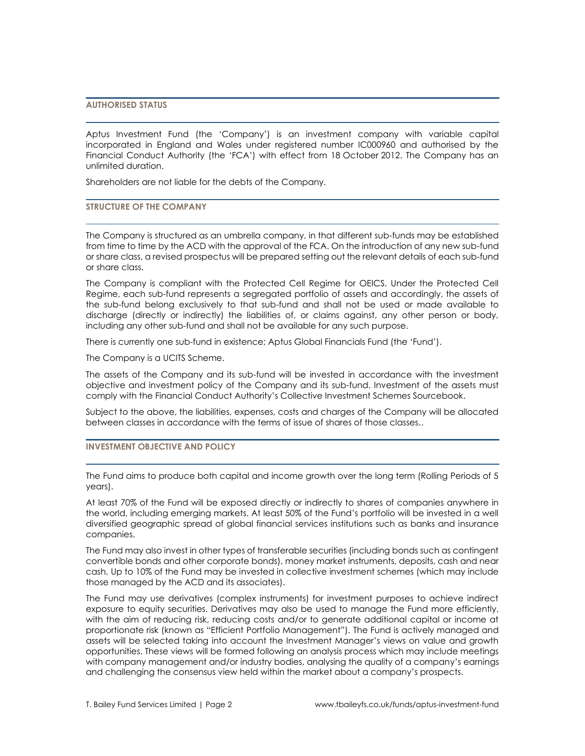# **AUTHORISED STATUS**

Aptus Investment Fund (the 'Company') is an investment company with variable capital incorporated in England and Wales under registered number IC000960 and authorised by the Financial Conduct Authority (the 'FCA') with effect from 18 October 2012. The Company has an unlimited duration.

Shareholders are not liable for the debts of the Company.

## **STRUCTURE OF THE COMPANY**

The Company is structured as an umbrella company, in that different sub-funds may be established from time to time by the ACD with the approval of the FCA. On the introduction of any new sub-fund or share class, a revised prospectus will be prepared setting out the relevant details of each sub-fund or share class.

The Company is compliant with the Protected Cell Regime for OEICS. Under the Protected Cell Regime, each sub-fund represents a segregated portfolio of assets and accordingly, the assets of the sub-fund belong exclusively to that sub-fund and shall not be used or made available to discharge (directly or indirectly) the liabilities of, or claims against, any other person or body, including any other sub-fund and shall not be available for any such purpose.

There is currently one sub-fund in existence; Aptus Global Financials Fund (the 'Fund').

The Company is a UCITS Scheme.

The assets of the Company and its sub-fund will be invested in accordance with the investment objective and investment policy of the Company and its sub-fund. Investment of the assets must comply with the Financial Conduct Authority's Collective Investment Schemes Sourcebook.

Subject to the above, the liabilities, expenses, costs and charges of the Company will be allocated between classes in accordance with the terms of issue of shares of those classes..

## **INVESTMENT OBJECTIVE AND POLICY**

The Fund aims to produce both capital and income growth over the long term (Rolling Periods of 5 years).

At least 70% of the Fund will be exposed directly or indirectly to shares of companies anywhere in the world, including emerging markets. At least 50% of the Fund's portfolio will be invested in a well diversified geographic spread of global financial services institutions such as banks and insurance companies.

The Fund may also invest in other types of transferable securities (including bonds such as contingent convertible bonds and other corporate bonds), money market instruments, deposits, cash and near cash. Up to 10% of the Fund may be invested in collective investment schemes (which may include those managed by the ACD and its associates).

The Fund may use derivatives (complex instruments) for investment purposes to achieve indirect exposure to equity securities. Derivatives may also be used to manage the Fund more efficiently, with the aim of reducing risk, reducing costs and/or to generate additional capital or income at proportionate risk (known as "Efficient Portfolio Management"). The Fund is actively managed and assets will be selected taking into account the Investment Manager's views on value and growth opportunities. These views will be formed following an analysis process which may include meetings with company management and/or industry bodies, analysing the quality of a company's earnings and challenging the consensus view held within the market about a company's prospects.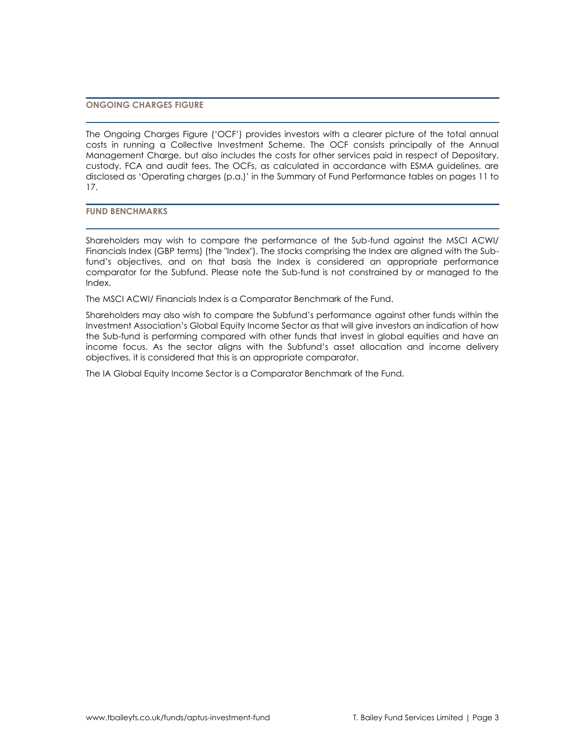## **ONGOING CHARGES FIGURE**

The Ongoing Charges Figure ('OCF') provides investors with a clearer picture of the total annual costs in running a Collective Investment Scheme. The OCF consists principally of the Annual Management Charge, but also includes the costs for other services paid in respect of Depositary, custody, FCA and audit fees. The OCFs, as calculated in accordance with ESMA guidelines, are disclosed as 'Operating charges (p.a.)' in the Summary of Fund Performance tables on pages 11 to 17.

**FUND BENCHMARKS**

Shareholders may wish to compare the performance of the Sub-fund against the MSCI ACWI/ Financials Index (GBP terms) (the "Index"). The stocks comprising the Index are aligned with the Subfund's objectives, and on that basis the Index is considered an appropriate performance comparator for the Subfund. Please note the Sub-fund is not constrained by or managed to the Index.

The MSCI ACWI/ Financials Index is a Comparator Benchmark of the Fund.

Shareholders may also wish to compare the Subfund's performance against other funds within the Investment Association's Global Equity Income Sector as that will give investors an indication of how the Sub-fund is performing compared with other funds that invest in global equities and have an income focus. As the sector aligns with the Subfund's asset allocation and income delivery objectives, it is considered that this is an appropriate comparator.

The IA Global Equity Income Sector is a Comparator Benchmark of the Fund.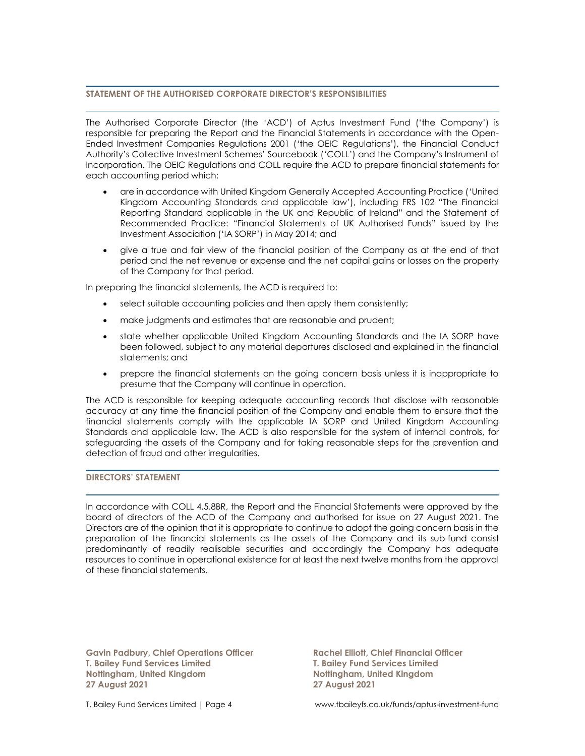# **STATEMENT OF THE AUTHORISED CORPORATE DIRECTOR'S RESPONSIBILITIES**

The Authorised Corporate Director (the 'ACD') of Aptus Investment Fund ('the Company') is responsible for preparing the Report and the Financial Statements in accordance with the Open-Ended Investment Companies Regulations 2001 ('the OEIC Regulations'), the Financial Conduct Authority's Collective Investment Schemes' Sourcebook ('COLL') and the Company's Instrument of Incorporation. The OEIC Regulations and COLL require the ACD to prepare financial statements for each accounting period which:

- are in accordance with United Kingdom Generally Accepted Accounting Practice ('United Kingdom Accounting Standards and applicable law'), including FRS 102 "The Financial Reporting Standard applicable in the UK and Republic of Ireland" and the Statement of Recommended Practice: "Financial Statements of UK Authorised Funds" issued by the Investment Association ('IA SORP') in May 2014; and
- give a true and fair view of the financial position of the Company as at the end of that period and the net revenue or expense and the net capital gains or losses on the property of the Company for that period.

In preparing the financial statements, the ACD is required to:

- select suitable accounting policies and then apply them consistently;
- make judgments and estimates that are reasonable and prudent;
- state whether applicable United Kingdom Accounting Standards and the IA SORP have been followed, subject to any material departures disclosed and explained in the financial statements; and
- prepare the financial statements on the going concern basis unless it is inappropriate to presume that the Company will continue in operation.

The ACD is responsible for keeping adequate accounting records that disclose with reasonable accuracy at any time the financial position of the Company and enable them to ensure that the financial statements comply with the applicable IA SORP and United Kingdom Accounting Standards and applicable law. The ACD is also responsible for the system of internal controls, for safeguarding the assets of the Company and for taking reasonable steps for the prevention and detection of fraud and other irregularities.

# **DIRECTORS' STATEMENT**

In accordance with COLL 4.5.8BR, the Report and the Financial Statements were approved by the board of directors of the ACD of the Company and authorised for issue on 27 August 2021. The Directors are of the opinion that it is appropriate to continue to adopt the going concern basis in the preparation of the financial statements as the assets of the Company and its sub-fund consist predominantly of readily realisable securities and accordingly the Company has adequate resources to continue in operational existence for at least the next twelve months from the approval of these financial statements.

**Gavin Padbury, Chief Operations Officer Rachel Elliott, Chief Financial Officer T. Bailey Fund Services Limited T. Bailey Fund Services Limited Nottingham, United Kingdom Nottingham, United Kingdom 27 August 2021 27 August 2021**

T. Bailey Fund Services Limited | Page 4 www.tbaileyfs.co.uk/funds/aptus-investment-fund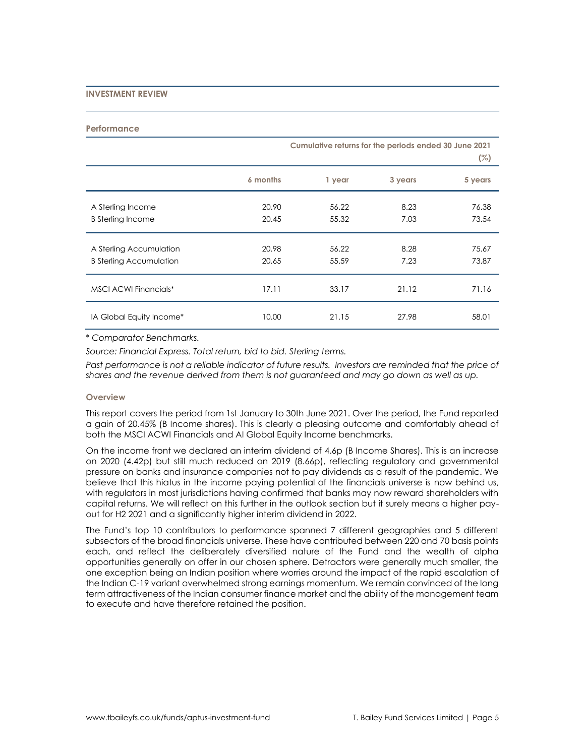## **INVESTMENT REVIEW**

#### **Performance**

|                                                           | Cumulative returns for the periods ended 30 June 2021 |                |              | (%)            |
|-----------------------------------------------------------|-------------------------------------------------------|----------------|--------------|----------------|
|                                                           | 6 months                                              | 1 year         | 3 years      | 5 years        |
| A Sterling Income<br><b>B</b> Sterling Income             | 20.90<br>20.45                                        | 56.22<br>55.32 | 8.23<br>7.03 | 76.38<br>73.54 |
| A Sterling Accumulation<br><b>B Sterling Accumulation</b> | 20.98<br>20.65                                        | 56.22<br>55.59 | 8.28<br>7.23 | 75.67<br>73.87 |
| <b>MSCI ACWI Financials*</b>                              | 17.11                                                 | 33.17          | 21.12        | 71.16          |
| IA Global Equity Income*                                  | 10.00                                                 | 21.15          | 27.98        | 58.01          |

\* *Comparator Benchmarks.*

*Source: Financial Express. Total return, bid to bid. Sterling terms.*

Past performance is not a reliable indicator of future results. Investors are reminded that the price of *shares and the revenue derived from them is not guaranteed and may go down as well as up.*

### **Overview**

This report covers the period from 1st January to 30th June 2021. Over the period, the Fund reported a gain of 20.45% (B Income shares). This is clearly a pleasing outcome and comfortably ahead of both the MSCI ACWI Financials and AI Global Equity Income benchmarks.

On the income front we declared an interim dividend of 4.6p (B Income Shares). This is an increase on 2020 (4.42p) but still much reduced on 2019 (8.66p), reflecting regulatory and governmental pressure on banks and insurance companies not to pay dividends as a result of the pandemic. We believe that this hiatus in the income paying potential of the financials universe is now behind us, with regulators in most jurisdictions having confirmed that banks may now reward shareholders with capital returns. We will reflect on this further in the outlook section but it surely means a higher payout for H2 2021 and a significantly higher interim dividend in 2022.

The Fund's top 10 contributors to performance spanned 7 different geographies and 5 different subsectors of the broad financials universe. These have contributed between 220 and 70 basis points each, and reflect the deliberately diversified nature of the Fund and the wealth of alpha opportunities generally on offer in our chosen sphere. Detractors were generally much smaller, the one exception being an Indian position where worries around the impact of the rapid escalation of the Indian C-19 variant overwhelmed strong earnings momentum. We remain convinced of the long term attractiveness of the Indian consumer finance market and the ability of the management team to execute and have therefore retained the position.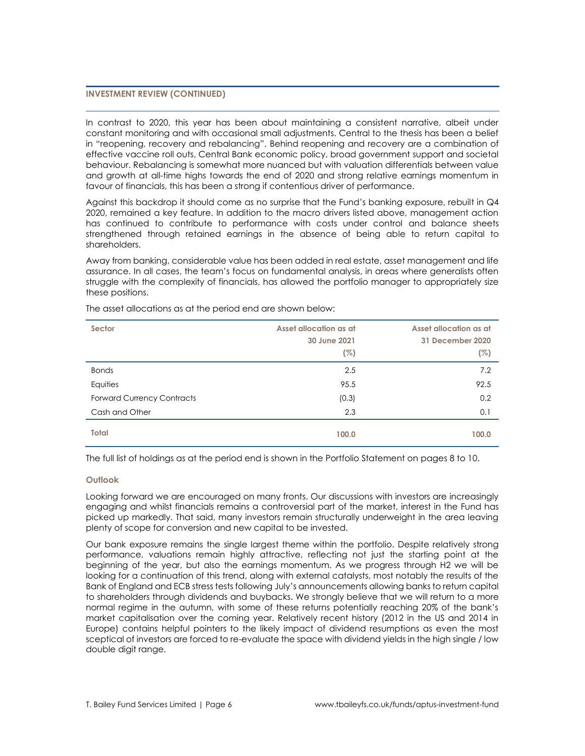## **INVESTMENT REVIEW (CONTINUED)**

In contrast to 2020, this year has been about maintaining a consistent narrative, albeit under constant monitoring and with occasional small adjustments. Central to the thesis has been a belief in "reopening, recovery and rebalancing". Behind reopening and recovery are a combination of effective vaccine roll outs, Central Bank economic policy, broad government support and societal behaviour. Rebalancing is somewhat more nuanced but with valuation differentials between value and growth at all-time highs towards the end of 2020 and strong relative earnings momentum in favour of financials, this has been a strong if contentious driver of performance.

Against this backdrop it should come as no surprise that the Fund's banking exposure, rebuilt in Q4 2020, remained a key feature. In addition to the macro drivers listed above, management action has continued to contribute to performance with costs under control and balance sheets strengthened through retained earnings in the absence of being able to return capital to shareholders.

Away from banking, considerable value has been added in real estate, asset management and life assurance. In all cases, the team's focus on fundamental analysis, in areas where generalists often struggle with the complexity of financials, has allowed the portfolio manager to appropriately size these positions.

| Sector                            | Asset allocation as at<br>30 June 2021<br>(%) | Asset allocation as at<br>31 December 2020<br>(%) |
|-----------------------------------|-----------------------------------------------|---------------------------------------------------|
| <b>Bonds</b>                      | 2.5                                           | 7.2                                               |
| Equities                          | 95.5                                          | 92.5                                              |
| <b>Forward Currency Contracts</b> | (0.3)                                         | 0.2                                               |
| Cash and Other                    | 2.3                                           | 0.1                                               |
| <b>Total</b>                      | 100.0                                         | 100.0                                             |

The asset allocations as at the period end are shown below:

The full list of holdings as at the period end is shown in the Portfolio Statement on pages 8 to 10.

## **Outlook**

Looking forward we are encouraged on many fronts. Our discussions with investors are increasingly engaging and whilst financials remains a controversial part of the market, interest in the Fund has picked up markedly. That said, many investors remain structurally underweight in the area leaving plenty of scope for conversion and new capital to be invested.

Our bank exposure remains the single largest theme within the portfolio. Despite relatively strong performance, valuations remain highly attractive, reflecting not just the starting point at the beginning of the year, but also the earnings momentum. As we progress through H2 we will be looking for a continuation of this trend, along with external catalysts, most notably the results of the Bank of England and ECB stress tests following July's announcements allowing banks to return capital to shareholders through dividends and buybacks. We strongly believe that we will return to a more normal regime in the autumn, with some of these returns potentially reaching 20% of the bank's market capitalisation over the coming year. Relatively recent history (2012 in the US and 2014 in Europe) contains helpful pointers to the likely impact of dividend resumptions as even the most sceptical of investors are forced to re-evaluate the space with dividend yields in the high single / low double digit range.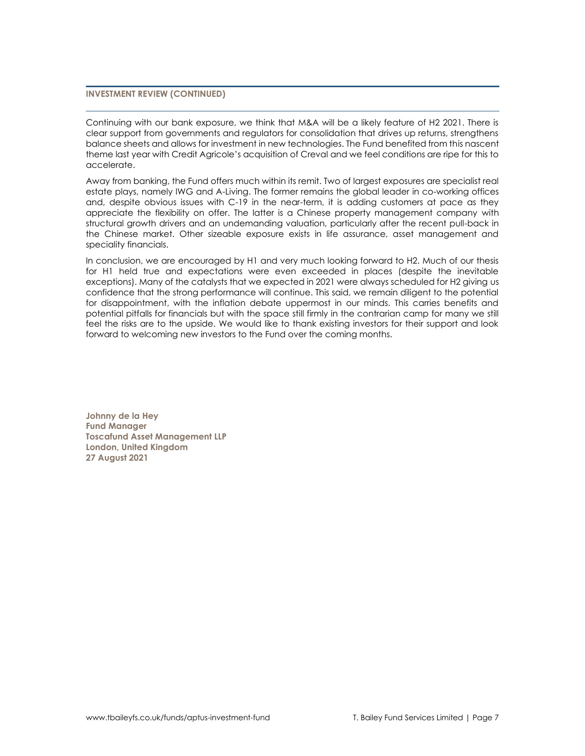# **INVESTMENT REVIEW (CONTINUED)**

Continuing with our bank exposure, we think that M&A will be a likely feature of H2 2021. There is clear support from governments and regulators for consolidation that drives up returns, strengthens balance sheets and allows for investment in new technologies. The Fund benefited from this nascent theme last year with Credit Agricole's acquisition of Creval and we feel conditions are ripe for this to accelerate.

Away from banking, the Fund offers much within its remit. Two of largest exposures are specialist real estate plays, namely IWG and A-Living. The former remains the global leader in co-working offices and, despite obvious issues with C-19 in the near-term, it is adding customers at pace as they appreciate the flexibility on offer. The latter is a Chinese property management company with structural growth drivers and an undemanding valuation, particularly after the recent pull-back in the Chinese market. Other sizeable exposure exists in life assurance, asset management and speciality financials.

In conclusion, we are encouraged by H1 and very much looking forward to H2. Much of our thesis for H1 held true and expectations were even exceeded in places (despite the inevitable exceptions). Many of the catalysts that we expected in 2021 were always scheduled for H2 giving us confidence that the strong performance will continue. This said, we remain diligent to the potential for disappointment, with the inflation debate uppermost in our minds. This carries benefits and potential pitfalls for financials but with the space still firmly in the contrarian camp for many we still feel the risks are to the upside. We would like to thank existing investors for their support and look forward to welcoming new investors to the Fund over the coming months.

**Johnny de la Hey Fund Manager Toscafund Asset Management LLP London, United Kingdom 27 August 2021**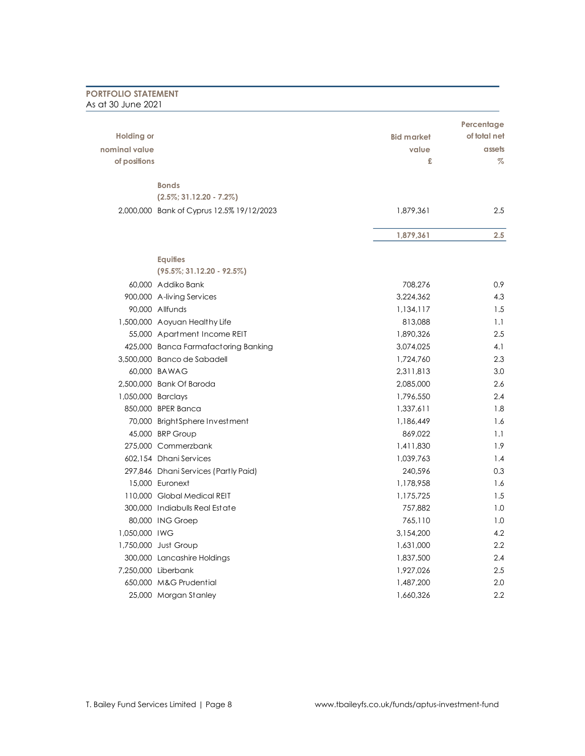| <b>PORTFOLIO STATEMENT</b><br>As at 30 June 2021 |                                           |                   |              |
|--------------------------------------------------|-------------------------------------------|-------------------|--------------|
|                                                  |                                           |                   |              |
|                                                  |                                           |                   | Percentage   |
| <b>Holding or</b>                                |                                           | <b>Bid market</b> | of total net |
| nominal value                                    |                                           | value             | assets       |
| of positions                                     |                                           | £                 | $\%$         |
|                                                  | <b>Bonds</b>                              |                   |              |
|                                                  | $(2.5\%; 31.12.20 - 7.2\%)$               |                   |              |
|                                                  | 2,000,000 Bank of Cyprus 12.5% 19/12/2023 | 1,879,361         | 2.5          |
|                                                  |                                           | 1,879,361         | 2.5          |
|                                                  | <b>Equities</b>                           |                   |              |
|                                                  | $(95.5\%; 31.12.20 - 92.5\%)$             |                   |              |
|                                                  | 60.000 Addiko Bank                        | 708,276           | 0.9          |
|                                                  | 900,000 A-living Services                 | 3,224,362         | 4.3          |
|                                                  | 90.000 Allfunds                           | 1,134,117         | 1.5          |
|                                                  | 1,500,000 Aoyuan Healthy Life             | 813,088           | 1.1          |
|                                                  | 55,000 Apartment Income REIT              | 1,890,326         | 2.5          |
|                                                  | 425,000 Banca Farmafactoring Banking      | 3,074,025         | 4.1          |
|                                                  | 3,500,000 Banco de Sabadell               | 1,724,760         | 2.3          |
|                                                  | 60,000 BAWAG                              | 2,311,813         | 3.0          |
|                                                  | 2,500,000 Bank Of Baroda                  | 2,085,000         | 2.6          |
| 1,050,000 Barclays                               |                                           | 1,796,550         | 2.4          |
|                                                  | 850,000 BPER Banca                        | 1,337,611         | 1.8          |
|                                                  | 70,000 BrightSphere Investment            | 1,186,449         | 1.6          |
|                                                  | 45,000 BRP Group                          | 869,022           | 1.1          |
|                                                  | 275,000 Commerzbank                       | 1,411,830         | 1.9          |
|                                                  | 602,154 Dhani Services                    | 1,039,763         | 1.4          |
|                                                  | 297,846 Dhani Services (Partly Paid)      | 240,596           | 0.3          |
|                                                  | 15,000 Euronext                           | 1,178,958         | 1.6          |
|                                                  | 110,000 Global Medical REIT               | 1,175,725         | 1.5          |
|                                                  | 300,000 Indiabulls Real Estate            | 757,882           | 1.0          |
|                                                  | 80,000 ING Groep                          | 765,110           | 1.0          |
| 1,050,000 IWG                                    |                                           | 3,154,200         | 4.2          |
|                                                  | 1,750,000 Just Group                      | 1,631,000         | 2.2          |
|                                                  | 300,000 Lancashire Holdings               | 1,837,500         | 2.4          |
|                                                  | 7,250,000 Liberbank                       | 1,927,026         | 2.5          |
|                                                  | 650,000 M&G Prudential                    | 1,487,200         | 2.0          |
|                                                  | 25,000 Morgan Stanley                     | 1,660,326         | 2.2          |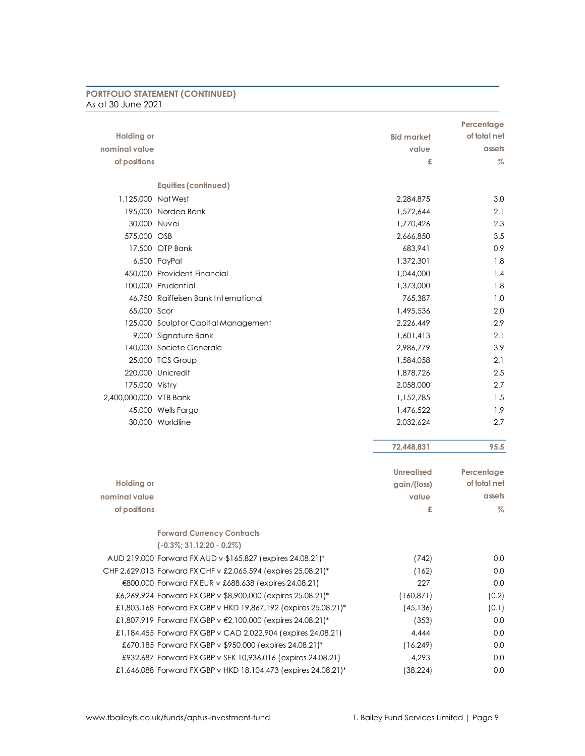| <b>PORTFOLIO STATEMENT (CONTINUED)</b> |  |
|----------------------------------------|--|
| As at 30 June 2021                     |  |

|                        |                                                                |                   | Percentage                 |
|------------------------|----------------------------------------------------------------|-------------------|----------------------------|
| <b>Holding or</b>      |                                                                | <b>Bid market</b> | of total net               |
| nominal value          |                                                                | value             | assets                     |
| of positions           |                                                                | £                 | $\%$                       |
|                        |                                                                |                   |                            |
|                        | <b>Equities (continued)</b>                                    |                   |                            |
| 1,125,000 NatWest      |                                                                | 2,284,875         | 3.0                        |
|                        | 195,000 Nordea Bank                                            | 1,572,644         | 2.1                        |
| 30,000 Nuvei           |                                                                | 1,770,426         | 2.3                        |
| 575,000 OSB            |                                                                | 2,666,850         | 3.5                        |
|                        | 17,500 OTP Bank                                                | 683,941           | 0.9                        |
|                        | 6,500 PayPal                                                   | 1,372,301         | 1.8                        |
|                        | 450,000 Provident Financial                                    | 1,044,000         | 1.4                        |
|                        | 100,000 Prudential                                             | 1,373,000         | 1.8                        |
|                        | 46,750 Raiffeisen Bank International                           | 765,387           | 1.0                        |
| 65,000 Scor            |                                                                | 1.495.536         | 2.0                        |
|                        | 125,000 Sculptor Capital Management                            | 2,226,449         | 2.9                        |
|                        | 9,000 Signature Bank                                           | 1,601,413         | 2.1                        |
|                        | 140,000 Societe Generale                                       | 2,986,779         | 3.9                        |
|                        | 25,000 TCS Group                                               | 1,584,058         | 2.1                        |
|                        | 220,000 Unicredit                                              | 1,878,726         | 2.5                        |
| 175,000 Vistry         |                                                                | 2,058,000         | 2.7                        |
| 2,400,000,000 VTB Bank |                                                                | 1,152,785         | 1.5                        |
|                        | 45,000 Wells Fargo                                             | 1,476,522         | 1.9                        |
|                        | 30,000 Worldline                                               | 2,032,624         | 2.7                        |
|                        |                                                                |                   |                            |
|                        |                                                                | 72,448,831        | 95.5                       |
|                        |                                                                |                   |                            |
| <b>Holding or</b>      |                                                                | <b>Unrealised</b> | Percentage<br>of total net |
| nominal value          |                                                                | gain/(loss)       | assets                     |
|                        |                                                                | value             |                            |
| of positions           |                                                                | £                 | %                          |
|                        | <b>Forward Currency Contracts</b>                              |                   |                            |
|                        | $(-0.3\%; 31.12.20 - 0.2\%)$                                   |                   |                            |
|                        | AUD 219,000 Forward FX AUD v \$165,827 (expires 24.08.21)*     | (742)             | 0.0                        |
|                        | CHF 2,629,013 Forward FX CHF v £2,065,594 (expires 25.08.21)*  | (162)             | 0.0                        |
|                        | €800,000 Forward FX EUR v £688,638 (expires 24.08.21)          | 227               | 0.0                        |
|                        | £6,269,924 Forward FX GBP v \$8,900,000 (expires 25.08.21)*    | (160, 871)        | (0.2)                      |
|                        | £1,803,168 Forward FX GBP v HKD 19,867,192 (expires 25.08.21)* | (45, 136)         | (0.1)                      |
|                        | £1,807,919 Forward FX GBP v €2,100,000 (expires 24.08.21)*     | (353)             | 0.0                        |
|                        | £1,184,455 Forward FX GBP v CAD 2,022,904 (expires 24.08.21)   | 4,444             | 0.0                        |
|                        | £670,185 Forward FX GBP v \$950,000 (expires 24.08.21)*        | (16, 249)         | 0.0                        |
|                        | £932,687 Forward FX GBP v SEK 10,936,016 (expires 24.08.21)    | 4,293             | 0.0                        |
|                        | £1,646,088 Forward FX GBP v HKD 18,104,473 (expires 24.08.21)* | (38, 224)         | 0.0                        |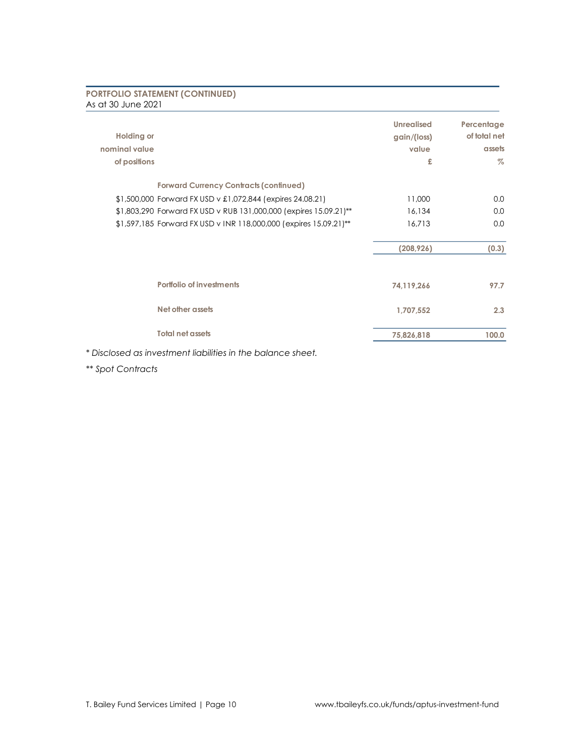# **PORTFOLIO STATEMENT (CONTINUED)** As at 30 June 2021

| <b>Holding or</b><br>nominal value<br>of positions                | <b>Unrealised</b><br>gain/(loss)<br>value<br>£ | Percentage<br>of total net<br>assets<br>$\%$ |
|-------------------------------------------------------------------|------------------------------------------------|----------------------------------------------|
| <b>Forward Currency Contracts (continued)</b>                     |                                                |                                              |
| \$1,500,000 Forward FX USD v £1,072,844 (expires 24.08.21)        | 11,000                                         | 0.0                                          |
| \$1,803,290 Forward FX USD v RUB 131,000,000 (expires 15.09.21)** | 16,134                                         | 0.0                                          |
| \$1,597,185 Forward FX USD v INR 118,000,000 (expires 15.09.21)** | 16,713                                         | 0.0                                          |
|                                                                   | (208, 926)                                     | (0.3)                                        |
| Portfolio of investments                                          | 74,119,266                                     | 97.7                                         |
| Net other assets                                                  | 1,707,552                                      | 2.3                                          |
| <b>Total net assets</b>                                           | 75,826,818                                     | 100.0                                        |

*\* Disclosed as investment liabilities in the balance sheet.*

*\*\* Spot Contracts*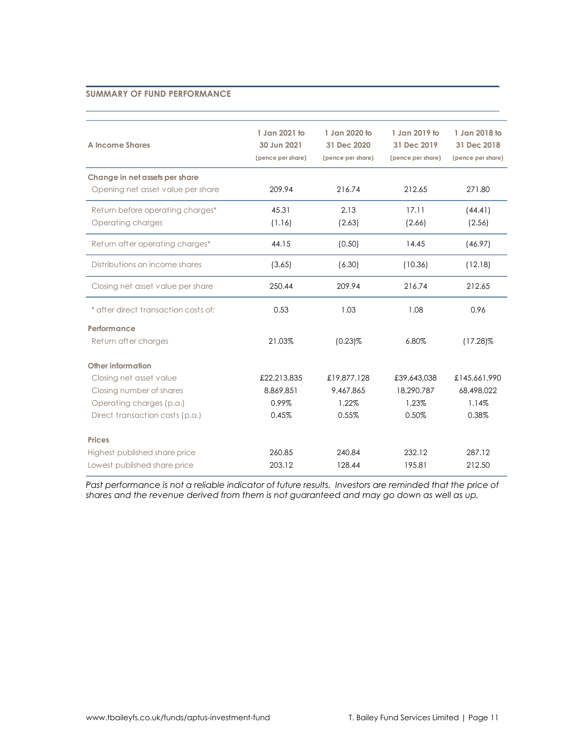## **SUMMARY OF FUND PERFORMANCE**

| A Income Shares                                                     | 1 Jan 2021 to<br>30 Jun 2021<br>(pence per share) | 1 Jan 2020 to<br>31 Dec 2020<br>(pence per share) | 1 Jan 2019 to<br>31 Dec 2019<br>(pence per share) | 1 Jan 2018 to<br>31 Dec 2018<br>(pence per share) |
|---------------------------------------------------------------------|---------------------------------------------------|---------------------------------------------------|---------------------------------------------------|---------------------------------------------------|
| Change in net assets per share<br>Opening net asset value per share | 209.94                                            | 216.74                                            | 212.65                                            | 271.80                                            |
| Return before operating charges*<br>Operating charges               | 45.31<br>(1.16)                                   | 2.13<br>(2.63)                                    | 17.11<br>(2.66)                                   | (44.41)<br>(2.56)                                 |
| Return after operating charges*                                     | 44.15                                             | (0.50)                                            | 14.45                                             | (46.97)                                           |
| Distributions on income shares                                      | (3.65)                                            | (6.30)                                            | (10.36)                                           | (12.18)                                           |
| Closing net asset value per share                                   | 250.44                                            | 209.94                                            | 216.74                                            | 212.65                                            |
| * after direct transaction costs of:                                | 0.53                                              | 1.03                                              | 1.08                                              | 0.96                                              |
| Performance                                                         |                                                   |                                                   |                                                   |                                                   |
| Return after charges                                                | 21.03%                                            | $(0.23)\%$                                        | 6.80%                                             | $(17.28)\%$                                       |
| Other information                                                   |                                                   |                                                   |                                                   |                                                   |
| Closing net asset value                                             | £22,213,835                                       | £19,877,128                                       | £39,643,038                                       | £145,661,990                                      |
| Closing number of shares                                            | 8,869,851                                         | 9,467,865                                         | 18,290,787                                        | 68,498,022                                        |
| Operating charges (p.a.)                                            | 0.99%                                             | 1.22%                                             | 1.23%                                             | 1.14%                                             |
| Direct transaction costs (p.a.)                                     | 0.45%                                             | 0.55%                                             | 0.50%                                             | 0.38%                                             |
| <b>Prices</b>                                                       |                                                   |                                                   |                                                   |                                                   |
| Highest published share price                                       | 260.85                                            | 240.84                                            | 232.12                                            | 287.12                                            |
| Lowest published share price                                        | 203.12                                            | 128.44                                            | 195.81                                            | 212.50                                            |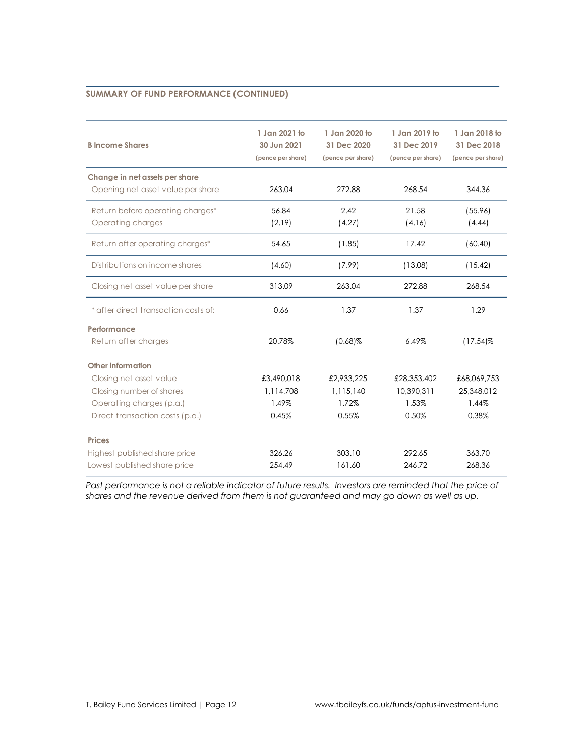| <b>B</b> Income Shares                                              | 1 Jan 2021 to<br>30 Jun 2021<br>(pence per share) | 1 Jan 2020 to<br>31 Dec 2020<br>(pence per share) | 1 Jan 2019 to<br>31 Dec 2019<br>(pence per share) | 1 Jan 2018 to<br>31 Dec 2018<br>(pence per share) |
|---------------------------------------------------------------------|---------------------------------------------------|---------------------------------------------------|---------------------------------------------------|---------------------------------------------------|
| Change in net assets per share<br>Opening net asset value per share | 263.04                                            | 272.88                                            | 268.54                                            | 344.36                                            |
| Return before operating charges*<br>Operating charges               | 56.84<br>(2.19)                                   | 2.42<br>(4.27)                                    | 21.58<br>(4.16)                                   | (55.96)<br>(4.44)                                 |
| Return after operating charges*                                     | 54.65                                             | (1.85)                                            | 17.42                                             | (60.40)                                           |
| Distributions on income shares                                      | (4.60)                                            | (7.99)                                            | (13.08)                                           | (15.42)                                           |
| Closing net asset value per share                                   | 313.09                                            | 263.04                                            | 272.88                                            | 268.54                                            |
| * after direct transaction costs of:                                | 0.66                                              | 1.37                                              | 1.37                                              | 1.29                                              |
| Performance                                                         |                                                   |                                                   |                                                   |                                                   |
| Return after charges                                                | 20.78%                                            | $(0.68)\%$                                        | 6.49%                                             | $(17.54)\%$                                       |
| Other information                                                   |                                                   |                                                   |                                                   |                                                   |
| Closing net asset value                                             | £3,490,018                                        | £2,933,225                                        | £28,353,402                                       | £68,069,753                                       |
| Closing number of shares                                            | 1,114,708                                         | 1,115,140                                         | 10,390,311                                        | 25,348,012                                        |
| Operating charges (p.a.)                                            | 1.49%                                             | 1.72%                                             | 1.53%                                             | 1.44%                                             |
| Direct transaction costs (p.a.)                                     | 0.45%                                             | 0.55%                                             | 0.50%                                             | 0.38%                                             |
| <b>Prices</b>                                                       |                                                   |                                                   |                                                   |                                                   |
| Highest published share price                                       | 326.26                                            | 303.10                                            | 292.65                                            | 363.70                                            |
| Lowest published share price                                        | 254.49                                            | 161.60                                            | 246.72                                            | 268.36                                            |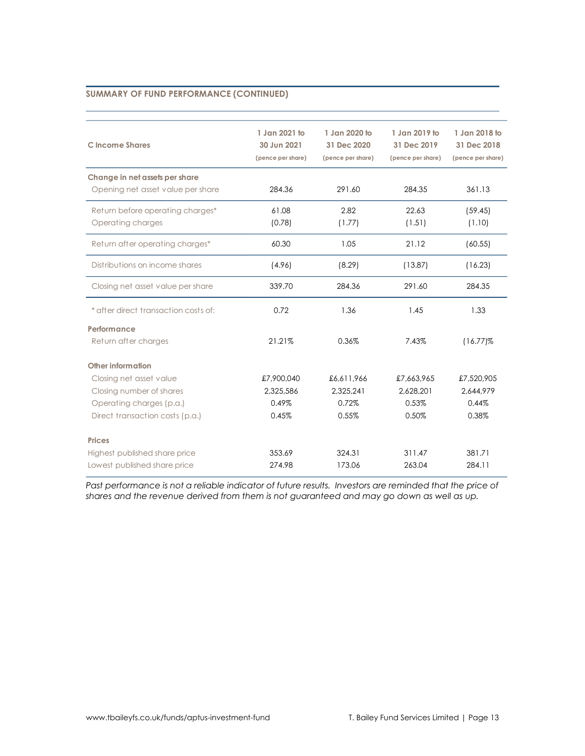| C Income Shares                                                     | 1 Jan 2021 to<br>30 Jun 2021<br>(pence per share) | 1 Jan 2020 to<br>31 Dec 2020<br>(pence per share) | 1 Jan 2019 to<br>31 Dec 2019<br>(pence per share) | 1 Jan 2018 to<br>31 Dec 2018<br>(pence per share) |
|---------------------------------------------------------------------|---------------------------------------------------|---------------------------------------------------|---------------------------------------------------|---------------------------------------------------|
| Change in net assets per share<br>Opening net asset value per share | 284.36                                            | 291.60                                            | 284.35                                            | 361.13                                            |
| Return before operating charges*<br>Operating charges               | 61.08<br>(0.78)                                   | 2.82<br>(1.77)                                    | 22.63<br>(1.51)                                   | (59.45)<br>(1.10)                                 |
| Return after operating charges*                                     | 60.30                                             | 1.05                                              | 21.12                                             | (60.55)                                           |
| Distributions on income shares                                      | (4.96)                                            | (8.29)                                            | (13.87)                                           | (16.23)                                           |
| Closing net asset value per share                                   | 339.70                                            | 284.36                                            | 291.60                                            | 284.35                                            |
| * after direct transaction costs of:                                | 0.72                                              | 1.36                                              | 1.45                                              | 1.33                                              |
| Performance                                                         |                                                   |                                                   |                                                   |                                                   |
| Return after charges                                                | 21.21%                                            | 0.36%                                             | 7.43%                                             | $(16.77)\%$                                       |
| Other information                                                   |                                                   |                                                   |                                                   |                                                   |
| Closing net asset value                                             | £7,900,040                                        | £6,611,966                                        | £7,663,965                                        | £7,520,905                                        |
| Closing number of shares                                            | 2,325,586                                         | 2,325,241                                         | 2,628,201                                         | 2,644,979                                         |
| Operating charges (p.a.)                                            | 0.49%                                             | 0.72%                                             | 0.53%                                             | 0.44%                                             |
| Direct transaction costs (p.a.)                                     | 0.45%                                             | 0.55%                                             | 0.50%                                             | 0.38%                                             |
| <b>Prices</b>                                                       |                                                   |                                                   |                                                   |                                                   |
| Highest published share price                                       | 353.69                                            | 324.31                                            | 311.47                                            | 381.71                                            |
| Lowest published share price                                        | 274.98                                            | 173.06                                            | 263.04                                            | 284.11                                            |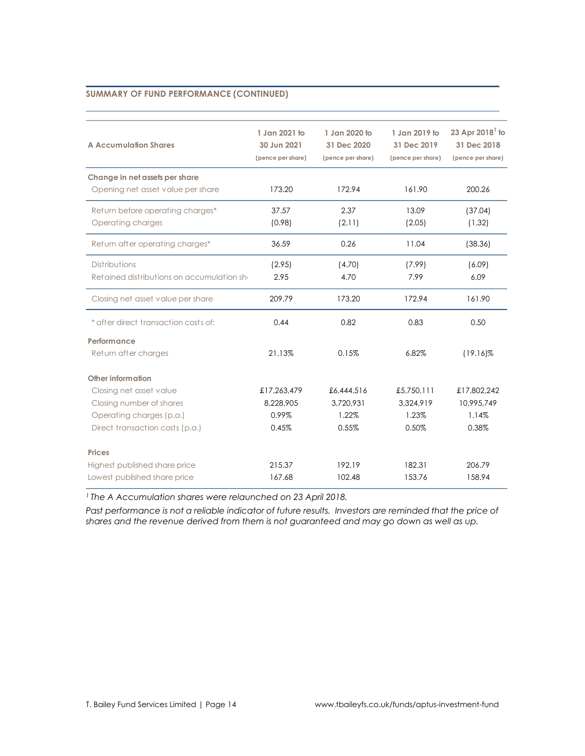| <b>A Accumulation Shares</b>               | 1 Jan 2021 to<br>30 Jun 2021<br>(pence per share) | 1 Jan 2020 to<br>31 Dec 2020<br>(pence per share) | 1 Jan 2019 to<br>31 Dec 2019<br>(pence per share) | 23 Apr $20181$ to<br>31 Dec 2018<br>(pence per share) |
|--------------------------------------------|---------------------------------------------------|---------------------------------------------------|---------------------------------------------------|-------------------------------------------------------|
| Change in net assets per share             |                                                   |                                                   |                                                   |                                                       |
| Opening net asset value per share          | 173.20                                            | 172.94                                            | 161.90                                            | 200.26                                                |
| Return before operating charges*           | 37.57                                             | 2.37                                              | 13.09                                             | (37.04)                                               |
| Operating charges                          | (0.98)                                            | (2.11)                                            | (2.05)                                            | (1.32)                                                |
| Return after operating charges*            | 36.59                                             | 0.26                                              | 11.04                                             | (38.36)                                               |
| Distributions                              | (2.95)                                            | (4.70)                                            | (7.99)                                            | (6.09)                                                |
| Retained distributions on accumulation shi | 2.95                                              | 4.70                                              | 7.99                                              | 6.09                                                  |
| Closing net asset value per share          | 209.79                                            | 173.20                                            | 172.94                                            | 161.90                                                |
| * after direct transaction costs of:       | 0.44                                              | 0.82                                              | 0.83                                              | 0.50                                                  |
| Performance                                |                                                   |                                                   |                                                   |                                                       |
| Return after charges                       | 21.13%                                            | 0.15%                                             | 6.82%                                             | $(19.16)\%$                                           |
| Other information                          |                                                   |                                                   |                                                   |                                                       |
| Closing net asset value                    | £17,263,479                                       | £6,444,516                                        | £5,750,111                                        | £17,802,242                                           |
| Closing number of shares                   | 8,228,905                                         | 3,720,931                                         | 3,324,919                                         | 10,995,749                                            |
| Operating charges (p.a.)                   | 0.99%                                             | 1.22%                                             | 1.23%                                             | 1.14%                                                 |
| Direct transaction costs (p.a.)            | 0.45%                                             | 0.55%                                             | 0.50%                                             | 0.38%                                                 |
| <b>Prices</b>                              |                                                   |                                                   |                                                   |                                                       |
| Highest published share price              | 215.37                                            | 192.19                                            | 182.31                                            | 206.79                                                |
| Lowest published share price               | 167.68                                            | 102.48                                            | 153.76                                            | 158.94                                                |

*<sup>1</sup> The A Accumulation shares were relaunched on 23 April 2018.*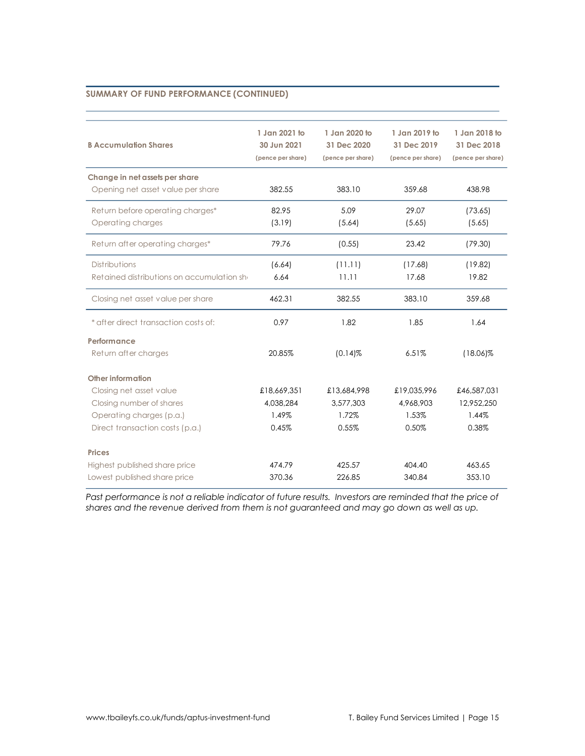| <b>B Accumulation Shares</b>               | 1 Jan 2021 to<br>30 Jun 2021<br>(pence per share) | 1 Jan 2020 to<br>31 Dec 2020<br>(pence per share) | 1 Jan 2019 to<br>31 Dec 2019<br>(pence per share) | 1 Jan 2018 to<br>31 Dec 2018<br>(pence per share) |
|--------------------------------------------|---------------------------------------------------|---------------------------------------------------|---------------------------------------------------|---------------------------------------------------|
| Change in net assets per share             |                                                   |                                                   |                                                   |                                                   |
| Opening net asset value per share          | 382.55                                            | 383.10                                            | 359.68                                            | 438.98                                            |
| Return before operating charges*           | 82.95                                             | 5.09                                              | 29.07                                             | (73.65)                                           |
| Operating charges                          | (3.19)                                            | (5.64)                                            | (5.65)                                            | (5.65)                                            |
| Return after operating charges*            | 79.76                                             | (0.55)                                            | 23.42                                             | (79.30)                                           |
| <b>Distributions</b>                       | (6.64)                                            | (11.11)                                           | (17.68)                                           | (19.82)                                           |
| Retained distributions on accumulation she | 6.64                                              | 11.11                                             | 17.68                                             | 19.82                                             |
| Closing net asset value per share          | 462.31                                            | 382.55                                            | 383.10                                            | 359.68                                            |
| * after direct transaction costs of:       | 0.97                                              | 1.82                                              | 1.85                                              | 1.64                                              |
| Performance                                |                                                   |                                                   |                                                   |                                                   |
| Return after charges                       | 20.85%                                            | $(0.14)$ %                                        | 6.51%                                             | $(18.06)\%$                                       |
| Other information                          |                                                   |                                                   |                                                   |                                                   |
| Closing net asset value                    | £18,669,351                                       | £13,684,998                                       | £19,035,996                                       | £46,587,031                                       |
| Closing number of shares                   | 4,038,284                                         | 3,577,303                                         | 4,968,903                                         | 12,952,250                                        |
| Operating charges (p.a.)                   | 1.49%                                             | 1.72%                                             | 1.53%                                             | 1.44%                                             |
| Direct transaction costs (p.a.)            | 0.45%                                             | 0.55%                                             | 0.50%                                             | 0.38%                                             |
| <b>Prices</b>                              |                                                   |                                                   |                                                   |                                                   |
| Highest published share price              | 474.79                                            | 425.57                                            | 404.40                                            | 463.65                                            |
| Lowest published share price               | 370.36                                            | 226.85                                            | 340.84                                            | 353.10                                            |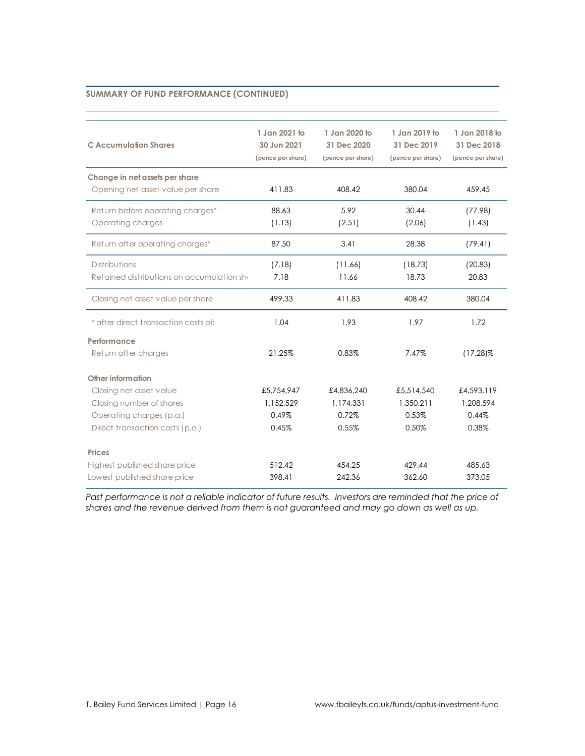| <b>C</b> Accumulation Shares               | 1 Jan 2021 to<br>30 Jun 2021<br>(pence per share) | 1 Jan 2020 to<br>31 Dec 2020<br>(pence per share) | 1 Jan 2019 to<br>31 Dec 2019<br>(pence per share) | 1 Jan 2018 to<br>31 Dec 2018<br>(pence per share) |
|--------------------------------------------|---------------------------------------------------|---------------------------------------------------|---------------------------------------------------|---------------------------------------------------|
| Change in net assets per share             |                                                   |                                                   |                                                   |                                                   |
| Opening net asset value per share          | 411.83                                            | 408.42                                            | 380.04                                            | 459.45                                            |
| Return before operating charges*           | 88.63                                             | 5.92                                              | 30.44                                             | (77.98)                                           |
| Operating charges                          | (1.13)                                            | (2.51)                                            | (2.06)                                            | (1.43)                                            |
| Return after operating charges*            | 87.50                                             | 3.41                                              | 28.38                                             | (79.41)                                           |
| <b>Distributions</b>                       | (7.18)                                            | (11.66)                                           | (18.73)                                           | (20.83)                                           |
| Retained distributions on accumulation she | 7.18                                              | 11.66                                             | 18.73                                             | 20.83                                             |
| Closing net asset value per share          | 499.33                                            | 411.83                                            | 408.42                                            | 380.04                                            |
| * after direct transaction costs of:       | 1.04                                              | 1.93                                              | 1.97                                              | 1.72                                              |
| Performance                                |                                                   |                                                   |                                                   |                                                   |
| Return after charges                       | 21.25%                                            | 0.83%                                             | 7.47%                                             | $(17.28)\%$                                       |
| Other information                          |                                                   |                                                   |                                                   |                                                   |
| Closing net asset value                    | £5,754,947                                        | £4,836,240                                        | £5,514,540                                        | £4,593,119                                        |
| Closing number of shares                   | 1,152,529                                         | 1,174,331                                         | 1,350,211                                         | 1,208,594                                         |
| Operating charges (p.a.)                   | 0.49%                                             | 0.72%                                             | 0.53%                                             | 0.44%                                             |
| Direct transaction costs (p.a.)            | 0.45%                                             | 0.55%                                             | 0.50%                                             | 0.38%                                             |
| <b>Prices</b>                              |                                                   |                                                   |                                                   |                                                   |
| Highest published share price              | 512.42                                            | 454.25                                            | 429.44                                            | 485.63                                            |
| Lowest published share price               | 398.41                                            | 242.36                                            | 362.60                                            | 373.05                                            |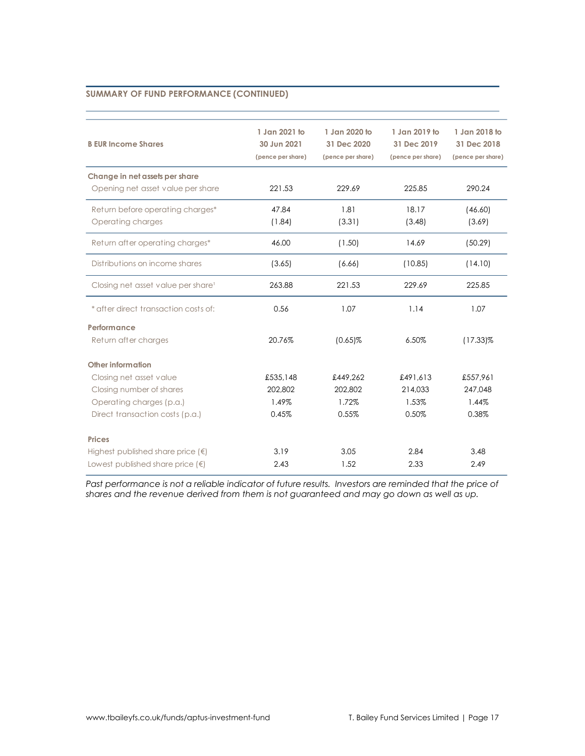| <b>B EUR Income Shares</b>                                          | 1 Jan 2021 to<br>30 Jun 2021<br>(pence per share) | 1 Jan 2020 to<br>31 Dec 2020<br>(pence per share) |          | 1 Jan 2018 to<br>31 Dec 2018<br>(pence per share) |
|---------------------------------------------------------------------|---------------------------------------------------|---------------------------------------------------|----------|---------------------------------------------------|
| Change in net assets per share<br>Opening net asset value per share | 221.53                                            | 229.69                                            | 225.85   | 290.24                                            |
| Return before operating charges*<br>Operating charges               | 47.84<br>(1.84)                                   | 1.81<br>18.17<br>(3.31)<br>(3.48)                 |          | (46.60)<br>(3.69)                                 |
| Return after operating charges*                                     | 46.00                                             | (1.50)                                            | 14.69    | (50.29)                                           |
| Distributions on income shares                                      | (3.65)                                            | (10.85)<br>(6.66)                                 |          | (14.10)                                           |
| Closing net asset value per share <sup>1</sup>                      | 263.88                                            | 221.53                                            | 229.69   | 225.85                                            |
| * after direct transaction costs of:                                | 0.56                                              | 1.07                                              | 1.14     | 1.07                                              |
| Performance                                                         |                                                   |                                                   |          |                                                   |
| Return after charges                                                | 20.76%                                            | $(0.65)\%$<br>6.50%                               |          | $(17.33)\%$                                       |
| Other information                                                   |                                                   |                                                   |          |                                                   |
| Closing net asset value                                             | £535.148                                          | £449.262                                          | £491.613 | £557,961                                          |
| Closing number of shares                                            | 202,802                                           | 202,802                                           | 214,033  | 247,048                                           |
| Operating charges (p.a.)                                            | 1.49%                                             | 1.72%                                             | 1.53%    | 1.44%                                             |
| Direct transaction costs (p.a.)                                     | 0.45%                                             | 0.55%                                             | 0.50%    | 0.38%                                             |
| <b>Prices</b>                                                       |                                                   |                                                   |          |                                                   |
| Highest published share price $(\epsilon)$                          | 3.19                                              | 3.05                                              | 2.84     | 3.48                                              |
| Lowest published share price $(\epsilon)$                           | 2.43                                              | 1.52                                              | 2.33     | 2.49                                              |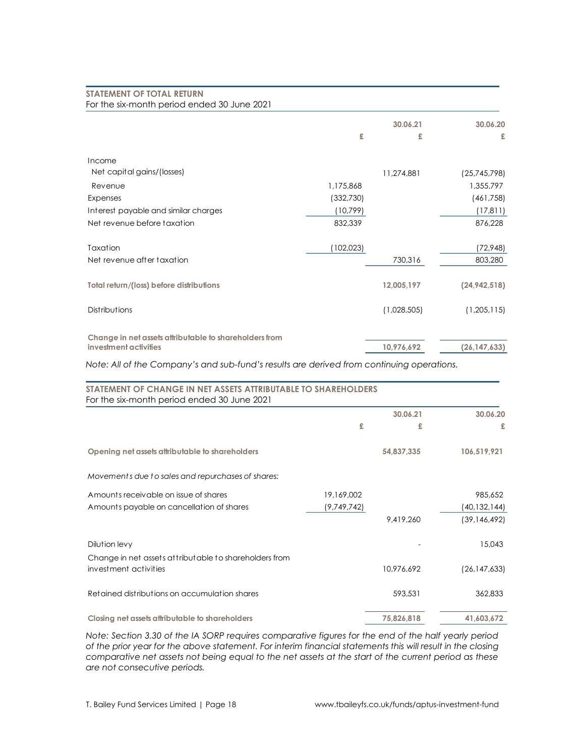| For the six-month period ended 30 June 2021            |           |             |                |
|--------------------------------------------------------|-----------|-------------|----------------|
|                                                        |           | 30.06.21    | 30.06.20       |
|                                                        | £         | £           | £              |
| Income                                                 |           |             |                |
| Net capital gains/(losses)                             |           | 11,274,881  | (25,745,798)   |
| Revenue                                                | 1,175,868 |             | 1,355,797      |
| Expenses                                               | (332,730) |             | (461,758)      |
| Interest payable and similar charges                   | (10,799)  |             | (17, 811)      |
| Net revenue before taxation                            | 832,339   |             | 876,228        |
| Taxation                                               | (102,023) |             | (72, 948)      |
| Net revenue after taxation                             |           | 730,316     | 803,280        |
| Total return/(loss) before distributions               |           | 12,005,197  | (24, 942, 518) |
| Distributions                                          |           | (1,028,505) | (1,205,115)    |
| Change in net assets attributable to shareholders from |           |             |                |
| investment activities                                  |           | 10,976,692  | (26, 147, 633) |

*Note: All of the Company's and sub-fund's results are derived from continuing operations.*

| STATEMENT OF CHANGE IN NET ASSETS ATTRIBUTABLE TO SHAREHOLDERS<br>For the six-month period ended 30 June 2021 |             |            |                |
|---------------------------------------------------------------------------------------------------------------|-------------|------------|----------------|
|                                                                                                               |             | 30.06.21   | 30.06.20       |
|                                                                                                               | £           | £          | £              |
| Opening net assets attributable to shareholders                                                               |             | 54,837,335 | 106,519,921    |
| Movements due to sales and repurchases of shares:                                                             |             |            |                |
| Amounts receivable on issue of shares                                                                         | 19,169,002  |            | 985,652        |
| Amounts payable on cancellation of shares                                                                     | (9,749,742) |            | (40,132,144)   |
|                                                                                                               |             | 9,419,260  | (39, 146, 492) |
| Dilution levy                                                                                                 |             |            | 15,043         |
| Change in net assets attributable to shareholders from                                                        |             |            |                |
| investment activities                                                                                         |             | 10,976,692 | (26, 147, 633) |
| Retained distributions on accumulation shares                                                                 |             | 593,531    | 362,833        |
| Closing net assets attributable to shareholders                                                               |             | 75,826,818 | 41,603,672     |

*Note: Section 3.30 of the IA SORP requires comparative figures for the end of the half yearly period of the prior year for the above statement. For interim financial statements this will result in the closing comparative net assets not being equal to the net assets at the start of the current period as these are not consecutive periods.*

**STATEMENT OF TOTAL RETURN**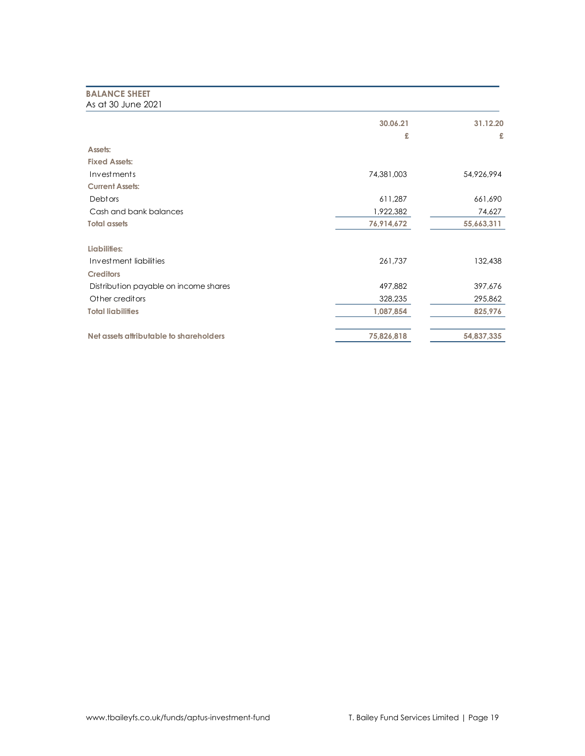# **BALANCE SHEET** As at 30 June 2021

|                                         | 30.06.21<br>£ | 31.12.20<br>£ |
|-----------------------------------------|---------------|---------------|
| Assets:                                 |               |               |
| <b>Fixed Assets:</b>                    |               |               |
| Investments                             | 74,381,003    | 54,926,994    |
| <b>Current Assets:</b>                  |               |               |
| <b>Debtors</b>                          | 611,287       | 661,690       |
| Cash and bank balances                  | 1,922,382     | 74,627        |
| <b>Total assets</b>                     | 76,914,672    | 55,663,311    |
| Liabilities:                            |               |               |
| Investment liabilities                  | 261,737       | 132,438       |
| <b>Creditors</b>                        |               |               |
| Distribution payable on income shares   | 497,882       | 397,676       |
| Other creditors                         | 328,235       | 295,862       |
| <b>Total liabilities</b>                | 1,087,854     | 825,976       |
| Net assets attributable to shareholders | 75,826,818    | 54,837,335    |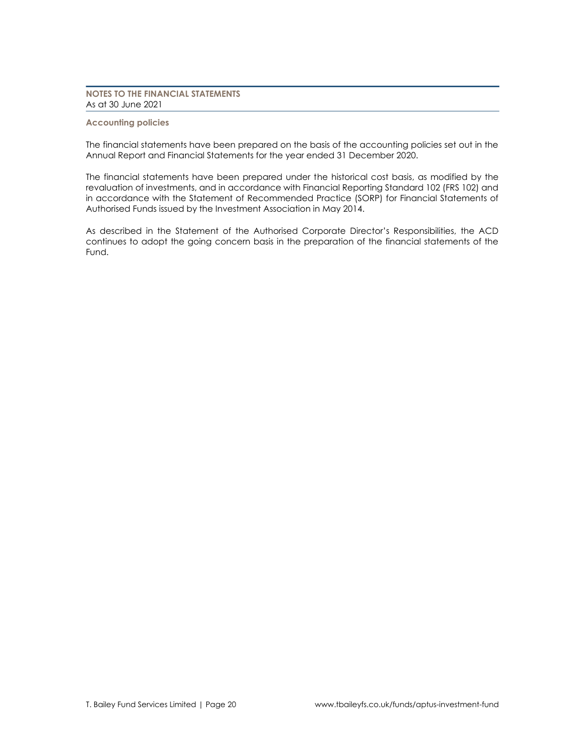# **NOTES TO THE FINANCIAL STATEMENTS** As at 30 June 2021

### **Accounting policies**

The financial statements have been prepared on the basis of the accounting policies set out in the Annual Report and Financial Statements for the year ended 31 December 2020.

The financial statements have been prepared under the historical cost basis, as modified by the revaluation of investments, and in accordance with Financial Reporting Standard 102 (FRS 102) and in accordance with the Statement of Recommended Practice (SORP) for Financial Statements of Authorised Funds issued by the Investment Association in May 2014.

As described in the Statement of the Authorised Corporate Director's Responsibilities, the ACD continues to adopt the going concern basis in the preparation of the financial statements of the Fund.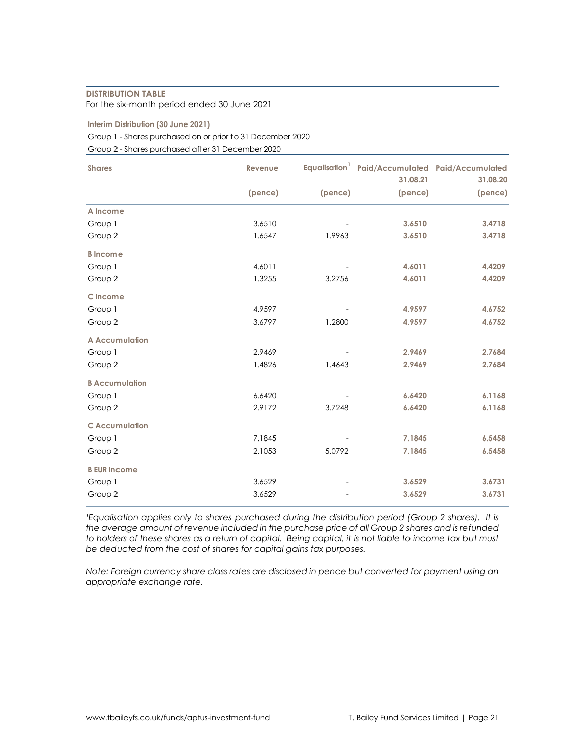# **DISTRIBUTION TABLE** For the six-month period ended 30 June 2021

## **Interim Distribution (30 June 2021)**

Group 1 - Shares purchased on or prior to 31 December 2020

Group 2 - Shares purchased after 31 December 2020

| <b>Shares</b>         | Revenue |         | Equalisation <sup>1</sup> Paid/Accumulated Paid/Accumulated |                     |
|-----------------------|---------|---------|-------------------------------------------------------------|---------------------|
|                       | (pence) | (pence) | 31.08.21<br>(pence)                                         | 31.08.20<br>(pence) |
|                       |         |         |                                                             |                     |
| A Income              |         |         |                                                             |                     |
| Group 1               | 3.6510  |         | 3.6510                                                      | 3.4718              |
| Group 2               | 1.6547  | 1.9963  | 3.6510                                                      | 3.4718              |
| <b>B</b> Income       |         |         |                                                             |                     |
| Group 1               | 4.6011  |         | 4.6011                                                      | 4.4209              |
| Group 2               | 1.3255  | 3.2756  | 4.6011                                                      | 4.4209              |
| C Income              |         |         |                                                             |                     |
| Group 1               | 4.9597  |         | 4.9597                                                      | 4.6752              |
| Group 2               | 3.6797  | 1.2800  | 4.9597                                                      | 4.6752              |
| <b>A Accumulation</b> |         |         |                                                             |                     |
| Group 1               | 2.9469  |         | 2.9469                                                      | 2.7684              |
| Group 2               | 1.4826  | 1.4643  | 2.9469                                                      | 2.7684              |
| <b>B</b> Accumulation |         |         |                                                             |                     |
| Group 1               | 6.6420  |         | 6.6420                                                      | 6.1168              |
| Group 2               | 2.9172  | 3.7248  | 6.6420                                                      | 6.1168              |
| <b>CAccumulation</b>  |         |         |                                                             |                     |
| Group 1               | 7.1845  |         | 7.1845                                                      | 6.5458              |
| Group 2               | 2.1053  | 5.0792  | 7.1845                                                      | 6.5458              |
| <b>B EUR Income</b>   |         |         |                                                             |                     |
| Group 1               | 3.6529  |         | 3.6529                                                      | 3.6731              |
| Group 2               | 3.6529  |         | 3.6529                                                      | 3.6731              |

*Lequalisation applies only to shares purchased during the distribution period (Group 2 shares). It is the average amount of revenue included in the purchase price of all Group 2 shares and is refunded to holders of these shares as a return of capital. Being capital, it is not liable to income tax but must be deducted from the cost of shares for capital gains tax purposes.*

*Note: Foreign currency share class rates are disclosed in pence but converted for payment using an appropriate exchange rate.*